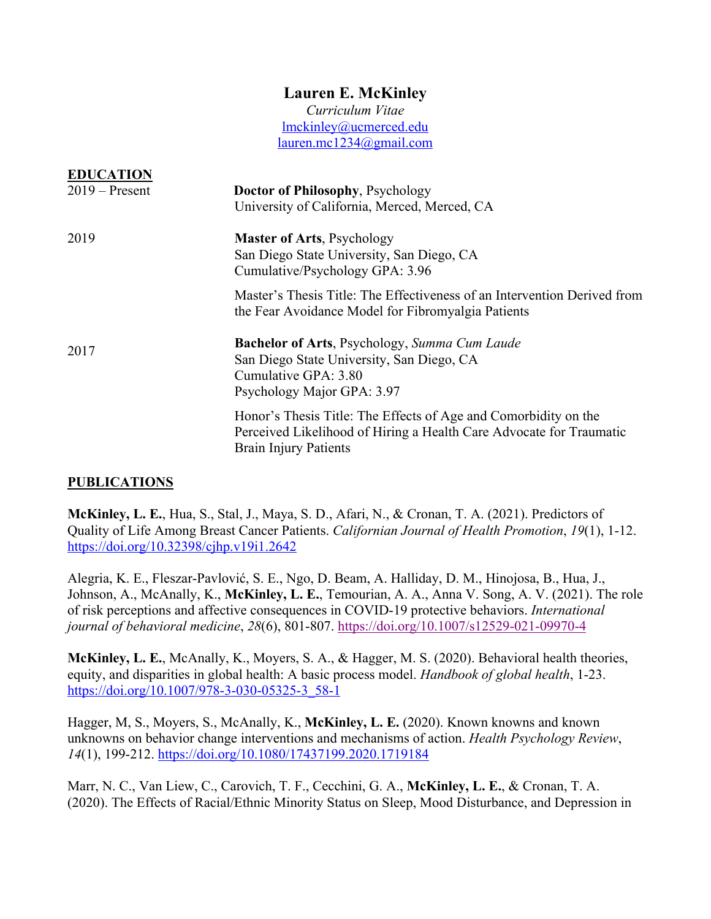# **Lauren E. McKinley**

*Curriculum Vitae* lmckinley@ucmerced.edu lauren.mc1234@gmail.com

| <b>EDUCATION</b><br>$2019 -$ Present | <b>Doctor of Philosophy</b> , Psychology                                                                                                                               |
|--------------------------------------|------------------------------------------------------------------------------------------------------------------------------------------------------------------------|
|                                      | University of California, Merced, Merced, CA                                                                                                                           |
| 2019                                 | <b>Master of Arts, Psychology</b><br>San Diego State University, San Diego, CA<br>Cumulative/Psychology GPA: 3.96                                                      |
|                                      | Master's Thesis Title: The Effectiveness of an Intervention Derived from<br>the Fear Avoidance Model for Fibromyalgia Patients                                         |
| 2017                                 | <b>Bachelor of Arts, Psychology, Summa Cum Laude</b><br>San Diego State University, San Diego, CA<br>Cumulative GPA: 3.80<br>Psychology Major GPA: 3.97                |
|                                      | Honor's Thesis Title: The Effects of Age and Comorbidity on the<br>Perceived Likelihood of Hiring a Health Care Advocate for Traumatic<br><b>Brain Injury Patients</b> |

# **PUBLICATIONS**

**McKinley, L. E.**, Hua, S., Stal, J., Maya, S. D., Afari, N., & Cronan, T. A. (2021). Predictors of Quality of Life Among Breast Cancer Patients. *Californian Journal of Health Promotion*, *19*(1), 1-12. https://doi.org/10.32398/cjhp.v19i1.2642

Alegria, K. E., Fleszar-Pavlović, S. E., Ngo, D. Beam, A. Halliday, D. M., Hinojosa, B., Hua, J., Johnson, A., McAnally, K., **McKinley, L. E.**, Temourian, A. A., Anna V. Song, A. V. (2021). The role of risk perceptions and affective consequences in COVID-19 protective behaviors. *International journal of behavioral medicine*, *28*(6), 801-807. https://doi.org/10.1007/s12529-021-09970-4

**McKinley, L. E.**, McAnally, K., Moyers, S. A., & Hagger, M. S. (2020). Behavioral health theories, equity, and disparities in global health: A basic process model. *Handbook of global health*, 1-23. https://doi.org/10.1007/978-3-030-05325-3\_58-1

Hagger, M, S., Moyers, S., McAnally, K., **McKinley, L. E.** (2020). Known knowns and known unknowns on behavior change interventions and mechanisms of action. *Health Psychology Review*, *14*(1), 199-212. https://doi.org/10.1080/17437199.2020.1719184

Marr, N. C., Van Liew, C., Carovich, T. F., Cecchini, G. A., **McKinley, L. E.**, & Cronan, T. A. (2020). The Effects of Racial/Ethnic Minority Status on Sleep, Mood Disturbance, and Depression in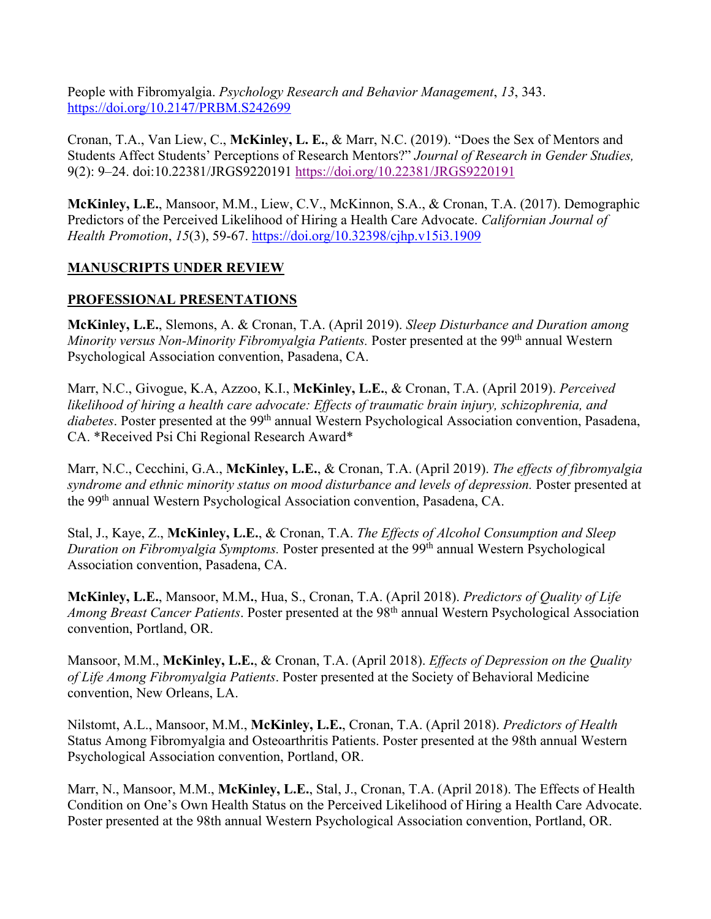People with Fibromyalgia. *Psychology Research and Behavior Management*, *13*, 343. https://doi.org/10.2147/PRBM.S242699

Cronan, T.A., Van Liew, C., **McKinley, L. E.**, & Marr, N.C. (2019). "Does the Sex of Mentors and Students Affect Students' Perceptions of Research Mentors?" *Journal of Research in Gender Studies,* 9(2): 9–24. doi:10.22381/JRGS9220191 https://doi.org/10.22381/JRGS9220191

**McKinley, L.E.**, Mansoor, M.M., Liew, C.V., McKinnon, S.A., & Cronan, T.A. (2017). Demographic Predictors of the Perceived Likelihood of Hiring a Health Care Advocate. *Californian Journal of Health Promotion*, *15*(3), 59-67. https://doi.org/10.32398/cjhp.v15i3.1909

## **MANUSCRIPTS UNDER REVIEW**

# **PROFESSIONAL PRESENTATIONS**

**McKinley, L.E.**, Slemons, A. & Cronan, T.A. (April 2019). *Sleep Disturbance and Duration among Minority versus Non-Minority Fibromyalgia Patients.* Poster presented at the 99th annual Western Psychological Association convention, Pasadena, CA.

Marr, N.C., Givogue, K.A, Azzoo, K.I., **McKinley, L.E.**, & Cronan, T.A. (April 2019). *Perceived likelihood of hiring a health care advocate: Effects of traumatic brain injury, schizophrenia, and diabetes*. Poster presented at the 99th annual Western Psychological Association convention, Pasadena, CA. \*Received Psi Chi Regional Research Award\*

Marr, N.C., Cecchini, G.A., **McKinley, L.E.**, & Cronan, T.A. (April 2019). *The effects of fibromyalgia syndrome and ethnic minority status on mood disturbance and levels of depression.* Poster presented at the 99th annual Western Psychological Association convention, Pasadena, CA.

Stal, J., Kaye, Z., **McKinley, L.E.**, & Cronan, T.A. *The Effects of Alcohol Consumption and Sleep Duration on Fibromyalgia Symptoms.* Poster presented at the 99<sup>th</sup> annual Western Psychological Association convention, Pasadena, CA.

**McKinley, L.E.**, Mansoor, M.M**.**, Hua, S., Cronan, T.A. (April 2018). *Predictors of Quality of Life Among Breast Cancer Patients*. Poster presented at the 98th annual Western Psychological Association convention, Portland, OR.

Mansoor, M.M., **McKinley, L.E.**, & Cronan, T.A. (April 2018). *Effects of Depression on the Quality of Life Among Fibromyalgia Patients*. Poster presented at the Society of Behavioral Medicine convention, New Orleans, LA.

Nilstomt, A.L., Mansoor, M.M., **McKinley, L.E.**, Cronan, T.A. (April 2018). *Predictors of Health*  Status Among Fibromyalgia and Osteoarthritis Patients. Poster presented at the 98th annual Western Psychological Association convention, Portland, OR.

Marr, N., Mansoor, M.M., **McKinley, L.E.**, Stal, J., Cronan, T.A. (April 2018). The Effects of Health Condition on One's Own Health Status on the Perceived Likelihood of Hiring a Health Care Advocate. Poster presented at the 98th annual Western Psychological Association convention, Portland, OR.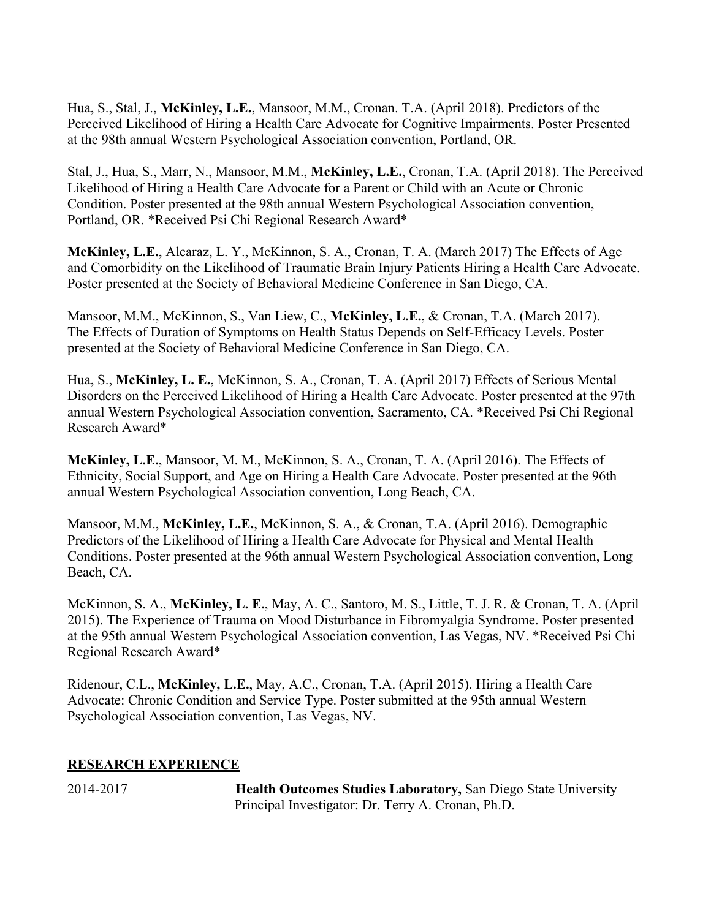Hua, S., Stal, J., **McKinley, L.E.**, Mansoor, M.M., Cronan. T.A. (April 2018). Predictors of the Perceived Likelihood of Hiring a Health Care Advocate for Cognitive Impairments. Poster Presented at the 98th annual Western Psychological Association convention, Portland, OR.

Stal, J., Hua, S., Marr, N., Mansoor, M.M., **McKinley, L.E.**, Cronan, T.A. (April 2018). The Perceived Likelihood of Hiring a Health Care Advocate for a Parent or Child with an Acute or Chronic Condition. Poster presented at the 98th annual Western Psychological Association convention, Portland, OR. \*Received Psi Chi Regional Research Award\*

**McKinley, L.E.**, Alcaraz, L. Y., McKinnon, S. A., Cronan, T. A. (March 2017) The Effects of Age and Comorbidity on the Likelihood of Traumatic Brain Injury Patients Hiring a Health Care Advocate. Poster presented at the Society of Behavioral Medicine Conference in San Diego, CA.

Mansoor, M.M., McKinnon, S., Van Liew, C., **McKinley, L.E.**, & Cronan, T.A. (March 2017). The Effects of Duration of Symptoms on Health Status Depends on Self-Efficacy Levels. Poster presented at the Society of Behavioral Medicine Conference in San Diego, CA.

Hua, S., **McKinley, L. E.**, McKinnon, S. A., Cronan, T. A. (April 2017) Effects of Serious Mental Disorders on the Perceived Likelihood of Hiring a Health Care Advocate. Poster presented at the 97th annual Western Psychological Association convention, Sacramento, CA. \*Received Psi Chi Regional Research Award\*

**McKinley, L.E.**, Mansoor, M. M., McKinnon, S. A., Cronan, T. A. (April 2016). The Effects of Ethnicity, Social Support, and Age on Hiring a Health Care Advocate. Poster presented at the 96th annual Western Psychological Association convention, Long Beach, CA.

Mansoor, M.M., **McKinley, L.E.**, McKinnon, S. A., & Cronan, T.A. (April 2016). Demographic Predictors of the Likelihood of Hiring a Health Care Advocate for Physical and Mental Health Conditions. Poster presented at the 96th annual Western Psychological Association convention, Long Beach, CA.

McKinnon, S. A., **McKinley, L. E.**, May, A. C., Santoro, M. S., Little, T. J. R. & Cronan, T. A. (April 2015). The Experience of Trauma on Mood Disturbance in Fibromyalgia Syndrome. Poster presented at the 95th annual Western Psychological Association convention, Las Vegas, NV. \*Received Psi Chi Regional Research Award\*

Ridenour, C.L., **McKinley, L.E.**, May, A.C., Cronan, T.A. (April 2015). Hiring a Health Care Advocate: Chronic Condition and Service Type. Poster submitted at the 95th annual Western Psychological Association convention, Las Vegas, NV.

### **RESEARCH EXPERIENCE**

2014-2017 **Health Outcomes Studies Laboratory,** San Diego State University Principal Investigator: Dr. Terry A. Cronan, Ph.D.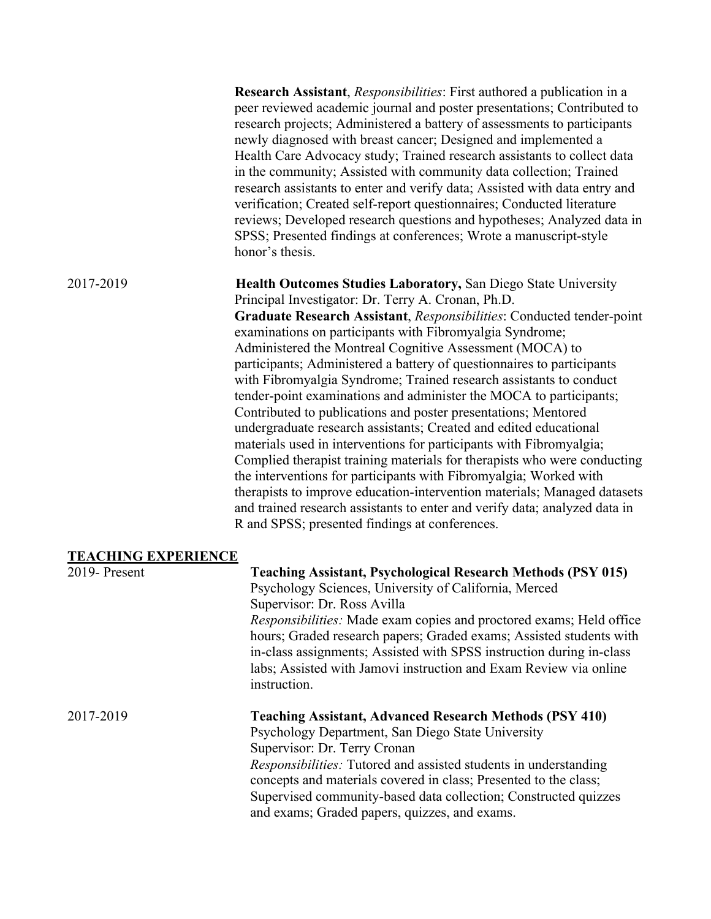**Research Assistant**, *Responsibilities*: First authored a publication in a peer reviewed academic journal and poster presentations; Contributed to research projects; Administered a battery of assessments to participants newly diagnosed with breast cancer; Designed and implemented a Health Care Advocacy study; Trained research assistants to collect data in the community; Assisted with community data collection; Trained research assistants to enter and verify data; Assisted with data entry and verification; Created self-report questionnaires; Conducted literature reviews; Developed research questions and hypotheses; Analyzed data in SPSS; Presented findings at conferences; Wrote a manuscript-style honor's thesis.

2017-2019 **Health Outcomes Studies Laboratory,** San Diego State University Principal Investigator: Dr. Terry A. Cronan, Ph.D. **Graduate Research Assistant**, *Responsibilities*: Conducted tender-point examinations on participants with Fibromyalgia Syndrome; Administered the Montreal Cognitive Assessment (MOCA) to participants; Administered a battery of questionnaires to participants with Fibromyalgia Syndrome; Trained research assistants to conduct tender-point examinations and administer the MOCA to participants; Contributed to publications and poster presentations; Mentored undergraduate research assistants; Created and edited educational materials used in interventions for participants with Fibromyalgia; Complied therapist training materials for therapists who were conducting the interventions for participants with Fibromyalgia; Worked with therapists to improve education-intervention materials; Managed datasets and trained research assistants to enter and verify data; analyzed data in R and SPSS; presented findings at conferences.

#### **TEACHING EXPERIENCE**

| 2019-Present | <b>Teaching Assistant, Psychological Research Methods (PSY 015)</b>                                                                                                                                                              |  |
|--------------|----------------------------------------------------------------------------------------------------------------------------------------------------------------------------------------------------------------------------------|--|
|              | Psychology Sciences, University of California, Merced                                                                                                                                                                            |  |
|              | Supervisor: Dr. Ross Avilla                                                                                                                                                                                                      |  |
|              | <i>Responsibilities:</i> Made exam copies and proctored exams; Held office                                                                                                                                                       |  |
|              | hours; Graded research papers; Graded exams; Assisted students with<br>in-class assignments; Assisted with SPSS instruction during in-class<br>labs; Assisted with Jamovi instruction and Exam Review via online<br>instruction. |  |
| 2017-2019    | <b>Teaching Assistant, Advanced Research Methods (PSY 410)</b>                                                                                                                                                                   |  |
|              | Psychology Department, San Diego State University                                                                                                                                                                                |  |
|              | Supervisor: Dr. Terry Cronan                                                                                                                                                                                                     |  |
|              | <i>Responsibilities:</i> Tutored and assisted students in understanding                                                                                                                                                          |  |
|              | concepts and materials covered in class; Presented to the class;                                                                                                                                                                 |  |
|              | Supervised community-based data collection; Constructed quizzes                                                                                                                                                                  |  |
|              | and exams; Graded papers, quizzes, and exams.                                                                                                                                                                                    |  |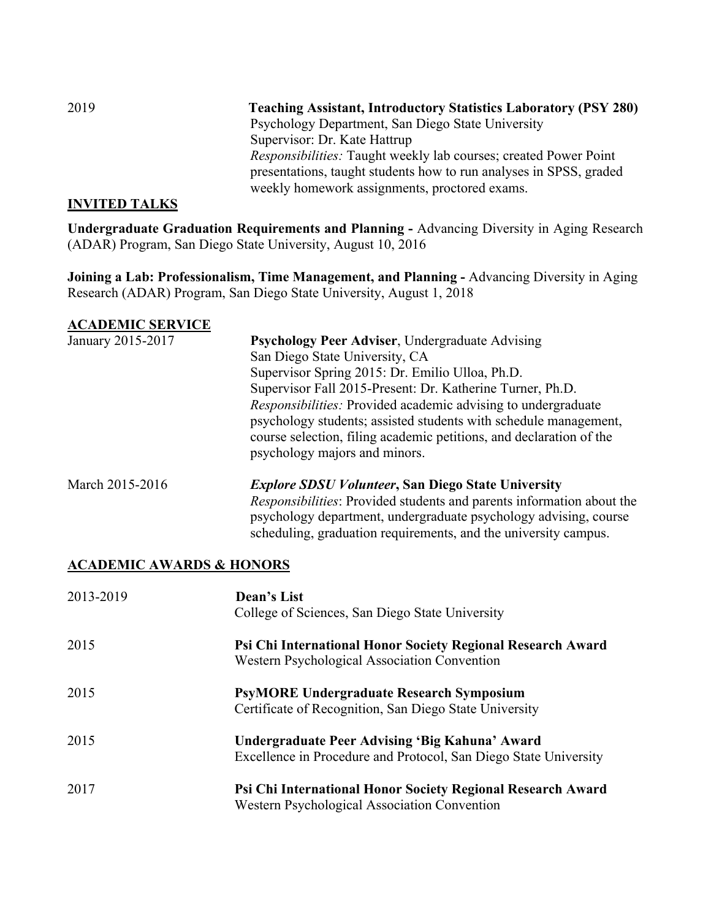| 2019            | <b>Teaching Assistant, Introductory Statistics Laboratory (PSY 280)</b> |
|-----------------|-------------------------------------------------------------------------|
|                 | Psychology Department, San Diego State University                       |
|                 | Supervisor: Dr. Kate Hattrup                                            |
|                 | <i>Responsibilities:</i> Taught weekly lab courses; created Power Point |
|                 | presentations, taught students how to run analyses in SPSS, graded      |
|                 | weekly homework assignments, proctored exams.                           |
| INITERIN TALIZO |                                                                         |

### **INVITED TALKS**

**Undergraduate Graduation Requirements and Planning -** Advancing Diversity in Aging Research (ADAR) Program, San Diego State University, August 10, 2016

**Joining a Lab: Professionalism, Time Management, and Planning -** Advancing Diversity in Aging Research (ADAR) Program, San Diego State University, August 1, 2018

#### **ACADEMIC SERVICE**

| January 2015-2017 | <b>Psychology Peer Adviser, Undergraduate Advising</b><br>San Diego State University, CA<br>Supervisor Spring 2015: Dr. Emilio Ulloa, Ph.D.<br>Supervisor Fall 2015-Present: Dr. Katherine Turner, Ph.D.<br><i>Responsibilities:</i> Provided academic advising to undergraduate<br>psychology students; assisted students with schedule management,<br>course selection, filing academic petitions, and declaration of the<br>psychology majors and minors. |
|-------------------|--------------------------------------------------------------------------------------------------------------------------------------------------------------------------------------------------------------------------------------------------------------------------------------------------------------------------------------------------------------------------------------------------------------------------------------------------------------|
| March 2015-2016   | <i>Explore SDSU Volunteer, San Diego State University</i><br><i>Responsibilities:</i> Provided students and parents information about the<br>psychology department, undergraduate psychology advising, course                                                                                                                                                                                                                                                |

scheduling, graduation requirements, and the university campus.

### **ACADEMIC AWARDS & HONORS**

| 2013-2019 | Dean's List<br>College of Sciences, San Diego State University                                                     |
|-----------|--------------------------------------------------------------------------------------------------------------------|
| 2015      | Psi Chi International Honor Society Regional Research Award<br><b>Western Psychological Association Convention</b> |
| 2015      | <b>PsyMORE Undergraduate Research Symposium</b><br>Certificate of Recognition, San Diego State University          |
| 2015      | Undergraduate Peer Advising 'Big Kahuna' Award<br>Excellence in Procedure and Protocol, San Diego State University |
| 2017      | Psi Chi International Honor Society Regional Research Award<br>Western Psychological Association Convention        |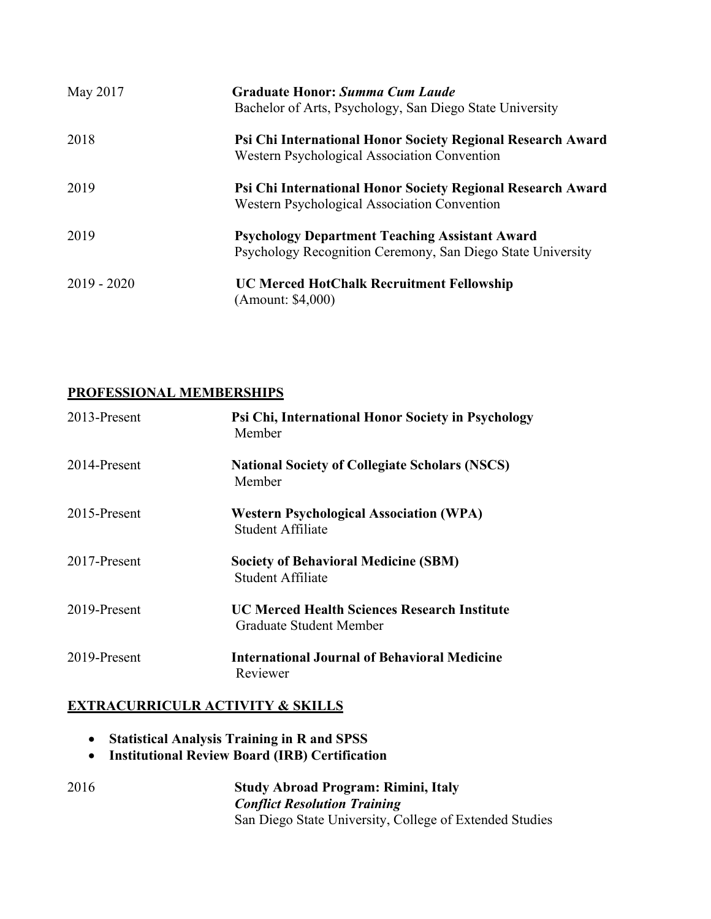| May 2017      | <b>Graduate Honor: Summa Cum Laude</b><br>Bachelor of Arts, Psychology, San Diego State University                   |
|---------------|----------------------------------------------------------------------------------------------------------------------|
| 2018          | Psi Chi International Honor Society Regional Research Award<br>Western Psychological Association Convention          |
| 2019          | Psi Chi International Honor Society Regional Research Award<br><b>Western Psychological Association Convention</b>   |
| 2019          | <b>Psychology Department Teaching Assistant Award</b><br>Psychology Recognition Ceremony, San Diego State University |
| $2019 - 2020$ | <b>UC Merced HotChalk Recruitment Fellowship</b><br>(Amount: \$4,000)                                                |

## **PROFESSIONAL MEMBERSHIPS**

| 2013-Present | Psi Chi, International Honor Society in Psychology<br>Member            |
|--------------|-------------------------------------------------------------------------|
| 2014-Present | <b>National Society of Collegiate Scholars (NSCS)</b><br>Member         |
| 2015-Present | <b>Western Psychological Association (WPA)</b><br>Student Affiliate     |
| 2017-Present | <b>Society of Behavioral Medicine (SBM)</b><br>Student Affiliate        |
| 2019-Present | UC Merced Health Sciences Research Institute<br>Graduate Student Member |
| 2019-Present | <b>International Journal of Behavioral Medicine</b><br>Reviewer         |

### **EXTRACURRICULR ACTIVITY & SKILLS**

- **Statistical Analysis Training in R and SPSS**
- **Institutional Review Board (IRB) Certification**
- 2016 **Study Abroad Program: Rimini, Italy**  *Conflict Resolution Training* San Diego State University, College of Extended Studies